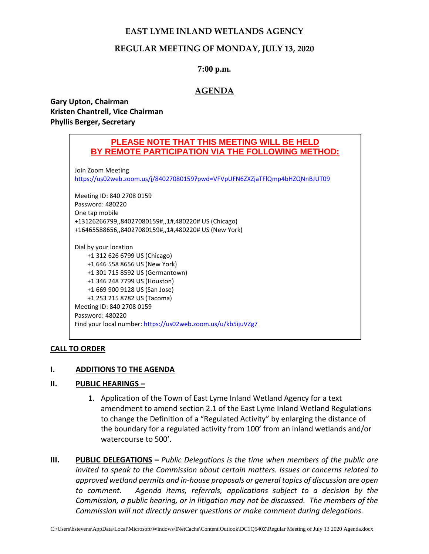# **EAST LYME INLAND WETLANDS AGENCY**

# **REGULAR MEETING OF MONDAY, JULY 13, 2020**

## **7:00 p.m.**

# **AGENDA**

**Gary Upton, Chairman Kristen Chantrell, Vice Chairman Phyllis Berger, Secretary**

# **PLEASE NOTE THAT THIS MEETING WILL BE HELD BY REMOTE PARTICIPATION VIA THE FOLLOWING METHOD:**

Join Zoom Meeting <https://us02web.zoom.us/j/84027080159?pwd=VFVpUFN6ZXZjaTFlQmp4bHZQNnBJUT09>

Meeting ID: 840 2708 0159 Password: 480220 One tap mobile +13126266799,,84027080159#,,1#,480220# US (Chicago) +16465588656,,84027080159#,,1#,480220# US (New York)

Dial by your location +1 312 626 6799 US (Chicago) +1 646 558 8656 US (New York) +1 301 715 8592 US (Germantown) +1 346 248 7799 US (Houston) +1 669 900 9128 US (San Jose) +1 253 215 8782 US (Tacoma) Meeting ID: 840 2708 0159 Password: 480220 Find your local number:<https://us02web.zoom.us/u/kb5ijuVZg7>

## **CALL TO ORDER**

## **I. ADDITIONS TO THE AGENDA**

## **II. PUBLIC HEARINGS –**

- 1. Application of the Town of East Lyme Inland Wetland Agency for a text amendment to amend section 2.1 of the East Lyme Inland Wetland Regulations to change the Definition of a "Regulated Activity" by enlarging the distance of the boundary for a regulated activity from 100' from an inland wetlands and/or watercourse to 500'.
- **III. PUBLIC DELEGATIONS –** *Public Delegations is the time when members of the public are invited to speak to the Commission about certain matters. Issues or concerns related to approved wetland permits and in-house proposals or general topics of discussion are open to comment. Agenda items, referrals, applications subject to a decision by the Commission, a public hearing, or in litigation may not be discussed. The members of the Commission will not directly answer questions or make comment during delegations.*